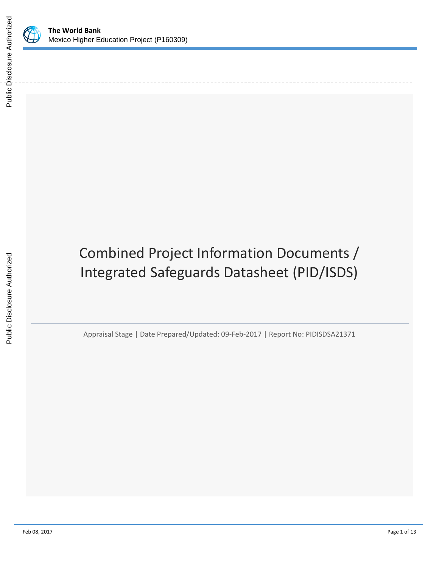



# Combined Project Information Documents / Integrated Safeguards Datasheet (PID/ISDS)

Appraisal Stage | Date Prepared/Updated: 09-Feb-2017 | Report No: PIDISDSA21371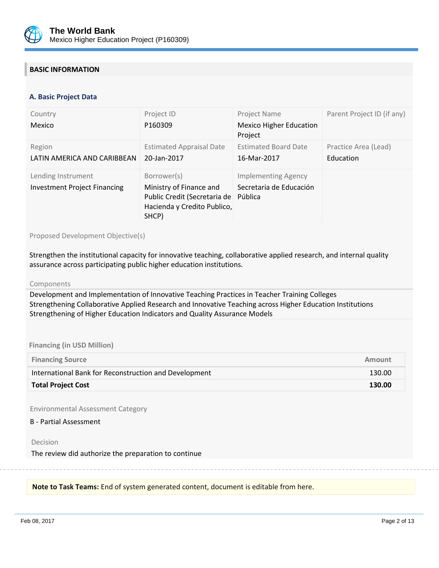

## **BASIC INFORMATION**

#### **OPS\_TABLE\_BASIC\_DATA A. Basic Project Data**

| Country<br>Mexico                                         | Project ID<br>P <sub>160309</sub>                                                                              | Project Name<br><b>Mexico Higher Education</b><br>Project        | Parent Project ID (if any)        |
|-----------------------------------------------------------|----------------------------------------------------------------------------------------------------------------|------------------------------------------------------------------|-----------------------------------|
| Region<br>LATIN AMERICA AND CARIBBEAN                     | <b>Estimated Appraisal Date</b><br>20-Jan-2017                                                                 | <b>Estimated Board Date</b><br>16-Mar-2017                       | Practice Area (Lead)<br>Education |
| Lending Instrument<br><b>Investment Project Financing</b> | Borrower(s)<br>Ministry of Finance and<br>Public Credit (Secretaria de<br>Hacienda y Credito Publico,<br>SHCP) | <b>Implementing Agency</b><br>Secretaria de Educación<br>Pública |                                   |

Proposed Development Objective(s)

Strengthen the institutional capacity for innovative teaching, collaborative applied research, and internal quality assurance across participating public higher education institutions.

#### Components

Development and Implementation of Innovative Teaching Practices in Teacher Training Colleges Strengthening Collaborative Applied Research and Innovative Teaching across Higher Education Institutions Strengthening of Higher Education Indicators and Quality Assurance Models

#### **Financing (in USD Million)**

| <b>Financing Source</b>                               | Amount |
|-------------------------------------------------------|--------|
| International Bank for Reconstruction and Development | 130.00 |
| <b>Total Project Cost</b>                             | 130.00 |

Environmental Assessment Category

#### B - Partial Assessment

#### Decision

The review did authorize the preparation to continue

**Note to Task Teams:** End of system generated content, document is editable from here.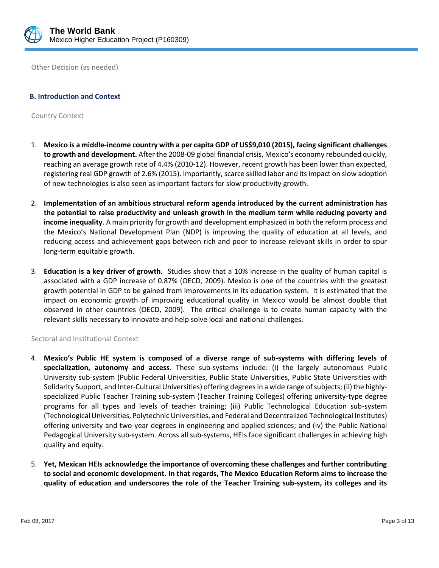

Other Decision (as needed)

## **B. Introduction and Context**

Country Context

- 1. **Mexico is a middle-income country with a per capita GDP of US\$9,010 (2015), facing significant challenges to growth and development.** After the 2008-09 global financial crisis, Mexico's economy rebounded quickly, reaching an average growth rate of 4.4% (2010-12). However, recent growth has been lower than expected, registering real GDP growth of 2.6% (2015). Importantly, scarce skilled labor and its impact on slow adoption of new technologies is also seen as important factors for slow productivity growth.
- 2. **Implementation of an ambitious structural reform agenda introduced by the current administration has the potential to raise productivity and unleash growth in the medium term while reducing poverty and income inequality**. A main priority for growth and development emphasized in both the reform process and the Mexico's National Development Plan (NDP) is improving the quality of education at all levels, and reducing access and achievement gaps between rich and poor to increase relevant skills in order to spur long-term equitable growth.
- 3. **Education is a key driver of growth.** Studies show that a 10% increase in the quality of human capital is associated with a GDP increase of 0.87% (OECD, 2009). Mexico is one of the countries with the greatest growth potential in GDP to be gained from improvements in its education system. It is estimated that the impact on economic growth of improving educational quality in Mexico would be almost double that observed in other countries (OECD, 2009). The critical challenge is to create human capacity with the relevant skills necessary to innovate and help solve local and national challenges.

#### Sectoral and Institutional Context

- 4. **Mexico's Public HE system is composed of a diverse range of sub-systems with differing levels of specialization, autonomy and access.** These sub-systems include: (i) the largely autonomous Public University sub-system (Public Federal Universities, Public State Universities, Public State Universities with Solidarity Support, and Inter-Cultural Universities) offering degrees in a wide range of subjects; (ii) the highlyspecialized Public Teacher Training sub-system (Teacher Training Colleges) offering university-type degree programs for all types and levels of teacher training; (iii) Public Technological Education sub-system (Technological Universities, Polytechnic Universities, and Federal and Decentralized Technological Institutes) offering university and two-year degrees in engineering and applied sciences; and (iv) the Public National Pedagogical University sub-system. Across all sub-systems, HEIs face significant challenges in achieving high quality and equity.
- 5. **Yet, Mexican HEIs acknowledge the importance of overcoming these challenges and further contributing to social and economic development. In that regards, The Mexico Education Reform aims to increase the quality of education and underscores the role of the Teacher Training sub-system, its colleges and its**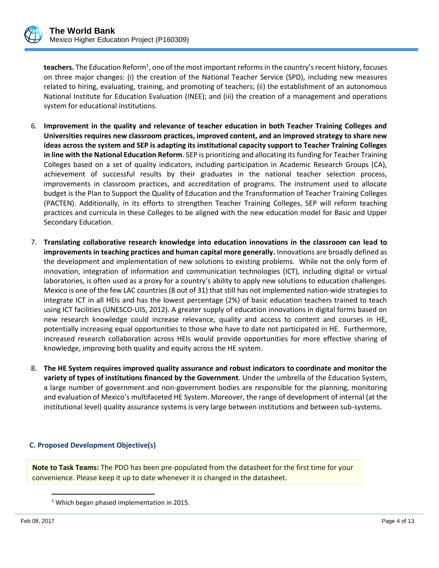

teachers. The Education Reform<sup>1</sup>, one of the most important reforms in the country's recent history, focuses on three major changes: (i) the creation of the National Teacher Service (SPD), including new measures related to hiring, evaluating, training, and promoting of teachers; (ii) the establishment of an autonomous National Institute for Education Evaluation (INEE); and (iii) the creation of a management and operations system for educational institutions.

- 6. **Improvement in the quality and relevance of teacher education in both Teacher Training Colleges and Universities requires new classroom practices, improved content, and an improved strategy to share new ideas across the system and SEP is adapting its institutional capacity support to Teacher Training Colleges in line with the National Education Reform**. SEP is prioritizing and allocating its funding for Teacher Training Colleges based on a set of quality indicators, including participation in Academic Research Groups (CA), achievement of successful results by their graduates in the national teacher selection process, improvements in classroom practices, and accreditation of programs. The instrument used to allocate budget is the Plan to Support the Quality of Education and the Transformation of Teacher Training Colleges (PACTEN). Additionally, in its efforts to strengthen Teacher Training Colleges, SEP will reform teaching practices and curricula in these Colleges to be aligned with the new education model for Basic and Upper Secondary Education.
- 7. **Translating collaborative research knowledge into education innovations in the classroom can lead to improvements in teaching practices and human capital more generally.** Innovations are broadly defined as the development and implementation of new solutions to existing problems. While not the only form of innovation, integration of information and communication technologies (ICT), including digital or virtual laboratories, is often used as a proxy for a country's ability to apply new solutions to education challenges. Mexico is one of the few LAC countries (8 out of 31) that still has not implemented nation-wide strategies to integrate ICT in all HEIs and has the lowest percentage (2%) of basic education teachers trained to teach using ICT facilities (UNESCO-UIS, 2012). A greater supply of education innovations in digital forms based on new research knowledge could increase relevance, quality and access to content and courses in HE, potentially increasing equal opportunities to those who have to date not participated in HE. Furthermore, increased research collaboration across HEIs would provide opportunities for more effective sharing of knowledge, improving both quality and equity across the HE system.
- 8. **The HE System requires improved quality assurance and robust indicators to coordinate and monitor the variety of types of institutions financed by the Government**. Under the umbrella of the Education System, a large number of government and non-government bodies are responsible for the planning, monitoring and evaluation of Mexico's multifaceted HE System. Moreover, the range of development of internal (at the institutional level) quality assurance systems is very large between institutions and between sub-systems.

## **C. Proposed Development Objective(s)**

**Note to Task Teams:** The PDO has been pre-populated from the datasheet for the first time for your convenience. Please keep it up to date whenever it is changed in the datasheet.

 $\overline{a}$ 

<sup>&</sup>lt;sup>1</sup> Which began phased implementation in 2015.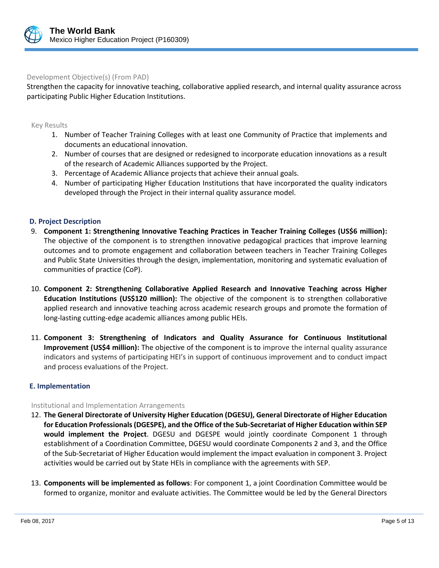

### Development Objective(s) (From PAD)

Strengthen the capacity for innovative teaching, collaborative applied research, and internal quality assurance across participating Public Higher Education Institutions.

#### Key Results

- 1. Number of Teacher Training Colleges with at least one Community of Practice that implements and documents an educational innovation.
- 2. Number of courses that are designed or redesigned to incorporate education innovations as a result of the research of Academic Alliances supported by the Project.
- 3. Percentage of Academic Alliance projects that achieve their annual goals.
- 4. Number of participating Higher Education Institutions that have incorporated the quality indicators developed through the Project in their internal quality assurance model.

#### **D. Project Description**

- 9. **Component 1: Strengthening Innovative Teaching Practices in Teacher Training Colleges (US\$6 million):**  The objective of the component is to strengthen innovative pedagogical practices that improve learning outcomes and to promote engagement and collaboration between teachers in Teacher Training Colleges and Public State Universities through the design, implementation, monitoring and systematic evaluation of communities of practice (CoP).
- 10. **Component 2: Strengthening Collaborative Applied Research and Innovative Teaching across Higher Education Institutions (US\$120 million):** The objective of the component is to strengthen collaborative applied research and innovative teaching across academic research groups and promote the formation of long-lasting cutting-edge academic alliances among public HEIs.
- 11. **Component 3: Strengthening of Indicators and Quality Assurance for Continuous Institutional Improvement (US\$4 million):** The objective of the component is to improve the internal quality assurance indicators and systems of participating HEI's in support of continuous improvement and to conduct impact and process evaluations of the Project.

#### **E. Implementation**

#### Institutional and Implementation Arrangements

- 12. **The General Directorate of University Higher Education (DGESU), General Directorate of Higher Education for Education Professionals (DGESPE), and the Office of the Sub-Secretariat of Higher Education within SEP would implement the Project**. DGESU and DGESPE would jointly coordinate Component 1 through establishment of a Coordination Committee, DGESU would coordinate Components 2 and 3, and the Office of the Sub-Secretariat of Higher Education would implement the impact evaluation in component 3. Project activities would be carried out by State HEIs in compliance with the agreements with SEP.
- 13. **Components will be implemented as follows**: For component 1, a joint Coordination Committee would be formed to organize, monitor and evaluate activities. The Committee would be led by the General Directors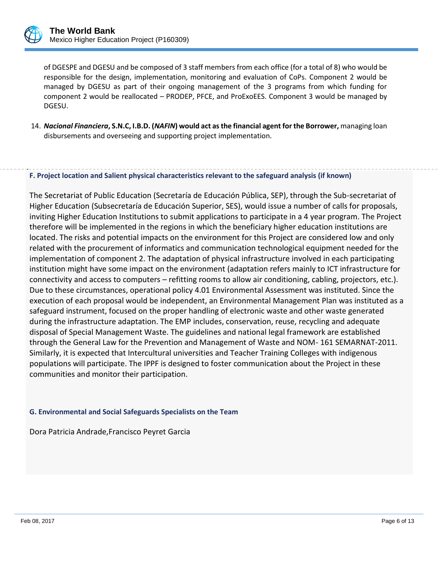

of DGESPE and DGESU and be composed of 3 staff members from each office (for a total of 8) who would be responsible for the design, implementation, monitoring and evaluation of CoPs. Component 2 would be managed by DGESU as part of their ongoing management of the 3 programs from which funding for component 2 would be reallocated – PRODEP, PFCE, and ProExoEES. Component 3 would be managed by DGESU.

14. *Nacional Financiera***, S.N.C, I.B.D. (***NAFIN***) would act as the financial agent for the Borrower,** managing loan disbursements and overseeing and supporting project implementation.

. **F. Project location and Salient physical characteristics relevant to the safeguard analysis (if known)**

The Secretariat of Public Education (Secretaría de Educación Pública, SEP), through the Sub-secretariat of Higher Education (Subsecretaría de Educación Superior, SES), would issue a number of calls for proposals, inviting Higher Education Institutions to submit applications to participate in a 4 year program. The Project therefore will be implemented in the regions in which the beneficiary higher education institutions are located. The risks and potential impacts on the environment for this Project are considered low and only related with the procurement of informatics and communication technological equipment needed for the implementation of component 2. The adaptation of physical infrastructure involved in each participating institution might have some impact on the environment (adaptation refers mainly to ICT infrastructure for connectivity and access to computers – refitting rooms to allow air conditioning, cabling, projectors, etc.). Due to these circumstances, operational policy 4.01 Environmental Assessment was instituted. Since the execution of each proposal would be independent, an Environmental Management Plan was instituted as a safeguard instrument, focused on the proper handling of electronic waste and other waste generated during the infrastructure adaptation. The EMP includes, conservation, reuse, recycling and adequate disposal of Special Management Waste. The guidelines and national legal framework are established through the General Law for the Prevention and Management of Waste and NOM- 161 SEMARNAT-2011. Similarly, it is expected that Intercultural universities and Teacher Training Colleges with indigenous populations will participate. The IPPF is designed to foster communication about the Project in these communities and monitor their participation.

#### **G. Environmental and Social Safeguards Specialists on the Team**

Dora Patricia Andrade,Francisco Peyret Garcia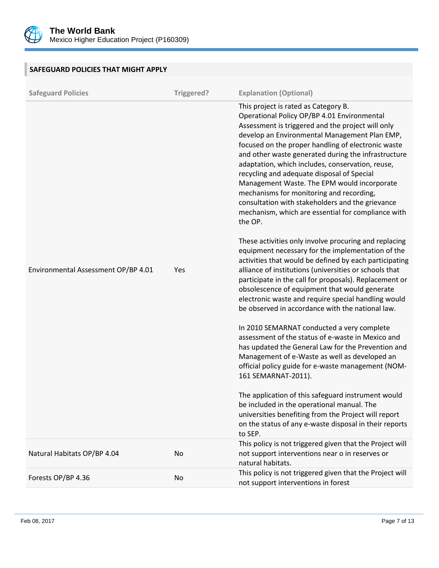

| SAFEGUARD POLICIES THAT MIGHT APPLY |            |                                                                                                                                                                                                                                                                                                                                                                                                                                                                                                                                                                                                                          |
|-------------------------------------|------------|--------------------------------------------------------------------------------------------------------------------------------------------------------------------------------------------------------------------------------------------------------------------------------------------------------------------------------------------------------------------------------------------------------------------------------------------------------------------------------------------------------------------------------------------------------------------------------------------------------------------------|
| <b>Safeguard Policies</b>           | Triggered? | <b>Explanation (Optional)</b>                                                                                                                                                                                                                                                                                                                                                                                                                                                                                                                                                                                            |
|                                     |            | This project is rated as Category B.<br>Operational Policy OP/BP 4.01 Environmental<br>Assessment is triggered and the project will only<br>develop an Environmental Management Plan EMP,<br>focused on the proper handling of electronic waste<br>and other waste generated during the infrastructure<br>adaptation, which includes, conservation, reuse,<br>recycling and adequate disposal of Special<br>Management Waste. The EPM would incorporate<br>mechanisms for monitoring and recording,<br>consultation with stakeholders and the grievance<br>mechanism, which are essential for compliance with<br>the OP. |
| Environmental Assessment OP/BP 4.01 | Yes        | These activities only involve procuring and replacing<br>equipment necessary for the implementation of the<br>activities that would be defined by each participating<br>alliance of institutions (universities or schools that<br>participate in the call for proposals). Replacement or<br>obsolescence of equipment that would generate<br>electronic waste and require special handling would<br>be observed in accordance with the national law.                                                                                                                                                                     |
|                                     |            | In 2010 SEMARNAT conducted a very complete<br>assessment of the status of e-waste in Mexico and<br>has updated the General Law for the Prevention and<br>Management of e-Waste as well as developed an<br>official policy guide for e-waste management (NOM-<br>161 SEMARNAT-2011).                                                                                                                                                                                                                                                                                                                                      |
|                                     |            | The application of this safeguard instrument would<br>be included in the operational manual. The<br>universities benefiting from the Project will report<br>on the status of any e-waste disposal in their reports<br>to SEP.                                                                                                                                                                                                                                                                                                                                                                                            |
| Natural Habitats OP/BP 4.04         | No         | This policy is not triggered given that the Project will<br>not support interventions near o in reserves or<br>natural habitats.                                                                                                                                                                                                                                                                                                                                                                                                                                                                                         |
| Forests OP/BP 4.36                  | No         | This policy is not triggered given that the Project will<br>not support interventions in forest                                                                                                                                                                                                                                                                                                                                                                                                                                                                                                                          |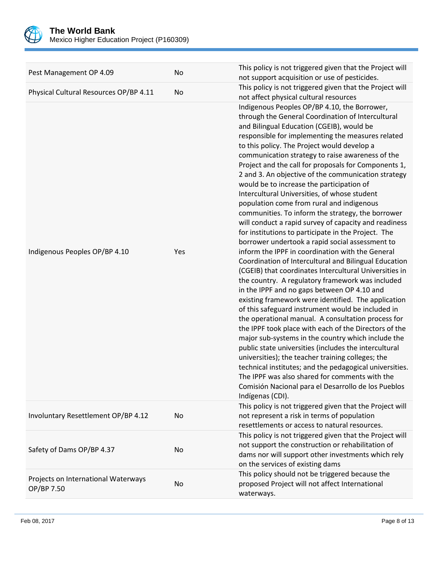

| Pest Management OP 4.09                           | No  | This policy is not triggered given that the Project will<br>not support acquisition or use of pesticides.                                                                                                                                                                                                                                                                                                                                                                                                                                                                                                                                                                                                                                                                                                                                                                                                                                                                                                                                                                                                                                                                                                                                                                                                                                                                                                                                                                                                                                                                                                                                                |
|---------------------------------------------------|-----|----------------------------------------------------------------------------------------------------------------------------------------------------------------------------------------------------------------------------------------------------------------------------------------------------------------------------------------------------------------------------------------------------------------------------------------------------------------------------------------------------------------------------------------------------------------------------------------------------------------------------------------------------------------------------------------------------------------------------------------------------------------------------------------------------------------------------------------------------------------------------------------------------------------------------------------------------------------------------------------------------------------------------------------------------------------------------------------------------------------------------------------------------------------------------------------------------------------------------------------------------------------------------------------------------------------------------------------------------------------------------------------------------------------------------------------------------------------------------------------------------------------------------------------------------------------------------------------------------------------------------------------------------------|
| Physical Cultural Resources OP/BP 4.11            | No  | This policy is not triggered given that the Project will<br>not affect physical cultural resources                                                                                                                                                                                                                                                                                                                                                                                                                                                                                                                                                                                                                                                                                                                                                                                                                                                                                                                                                                                                                                                                                                                                                                                                                                                                                                                                                                                                                                                                                                                                                       |
| Indigenous Peoples OP/BP 4.10                     | Yes | Indigenous Peoples OP/BP 4.10, the Borrower,<br>through the General Coordination of Intercultural<br>and Bilingual Education (CGEIB), would be<br>responsible for implementing the measures related<br>to this policy. The Project would develop a<br>communication strategy to raise awareness of the<br>Project and the call for proposals for Components 1,<br>2 and 3. An objective of the communication strategy<br>would be to increase the participation of<br>Intercultural Universities, of whose student<br>population come from rural and indigenous<br>communities. To inform the strategy, the borrower<br>will conduct a rapid survey of capacity and readiness<br>for institutions to participate in the Project. The<br>borrower undertook a rapid social assessment to<br>inform the IPPF in coordination with the General<br>Coordination of Intercultural and Bilingual Education<br>(CGEIB) that coordinates Intercultural Universities in<br>the country. A regulatory framework was included<br>in the IPPF and no gaps between OP 4.10 and<br>existing framework were identified. The application<br>of this safeguard instrument would be included in<br>the operational manual. A consultation process for<br>the IPPF took place with each of the Directors of the<br>major sub-systems in the country which include the<br>public state universities (includes the intercultural<br>universities); the teacher training colleges; the<br>technical institutes; and the pedagogical universities.<br>The IPPF was also shared for comments with the<br>Comisión Nacional para el Desarrollo de los Pueblos<br>Indígenas (CDI). |
| Involuntary Resettlement OP/BP 4.12               | No  | This policy is not triggered given that the Project will<br>not represent a risk in terms of population<br>resettlements or access to natural resources.                                                                                                                                                                                                                                                                                                                                                                                                                                                                                                                                                                                                                                                                                                                                                                                                                                                                                                                                                                                                                                                                                                                                                                                                                                                                                                                                                                                                                                                                                                 |
| Safety of Dams OP/BP 4.37                         | No  | This policy is not triggered given that the Project will<br>not support the construction or rehabilitation of<br>dams nor will support other investments which rely<br>on the services of existing dams                                                                                                                                                                                                                                                                                                                                                                                                                                                                                                                                                                                                                                                                                                                                                                                                                                                                                                                                                                                                                                                                                                                                                                                                                                                                                                                                                                                                                                                  |
| Projects on International Waterways<br>OP/BP 7.50 | No  | This policy should not be triggered because the<br>proposed Project will not affect International<br>waterways.                                                                                                                                                                                                                                                                                                                                                                                                                                                                                                                                                                                                                                                                                                                                                                                                                                                                                                                                                                                                                                                                                                                                                                                                                                                                                                                                                                                                                                                                                                                                          |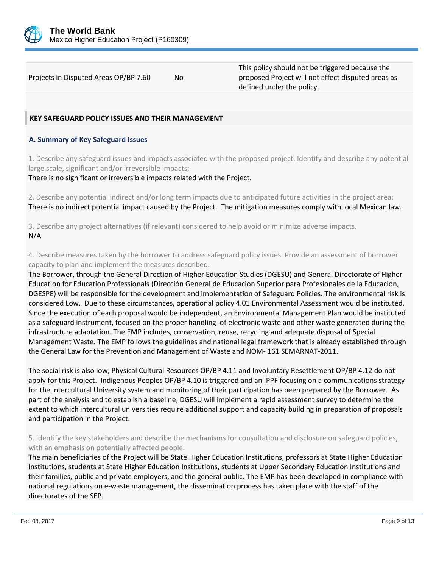

Projects in Disputed Areas OP/BP 7.60 No

This policy should not be triggered because the proposed Project will not affect disputed areas as defined under the policy.

## **KEY SAFEGUARD POLICY ISSUES AND THEIR MANAGEMENT**

## **A. Summary of Key Safeguard Issues**

1. Describe any safeguard issues and impacts associated with the proposed project. Identify and describe any potential large scale, significant and/or irreversible impacts:

There is no significant or irreversible impacts related with the Project.

2. Describe any potential indirect and/or long term impacts due to anticipated future activities in the project area: There is no indirect potential impact caused by the Project. The mitigation measures comply with local Mexican law.

3. Describe any project alternatives (if relevant) considered to help avoid or minimize adverse impacts. N/A

4. Describe measures taken by the borrower to address safeguard policy issues. Provide an assessment of borrower capacity to plan and implement the measures described.

The Borrower, through the General Direction of Higher Education Studies (DGESU) and General Directorate of Higher Education for Education Professionals (Dirección General de Educacion Superior para Profesionales de la Educación, DGESPE) will be responsible for the development and implementation of Safeguard Policies. The environmental risk is considered Low. Due to these circumstances, operational policy 4.01 Environmental Assessment would be instituted. Since the execution of each proposal would be independent, an Environmental Management Plan would be instituted as a safeguard instrument, focused on the proper handling of electronic waste and other waste generated during the infrastructure adaptation. The EMP includes, conservation, reuse, recycling and adequate disposal of Special Management Waste. The EMP follows the guidelines and national legal framework that is already established through the General Law for the Prevention and Management of Waste and NOM- 161 SEMARNAT-2011.

The social risk is also low, Physical Cultural Resources OP/BP 4.11 and Involuntary Resettlement OP/BP 4.12 do not apply for this Project. Indigenous Peoples OP/BP 4.10 is triggered and an IPPF focusing on a communications strategy for the Intercultural University system and monitoring of their participation has been prepared by the Borrower. As part of the analysis and to establish a baseline, DGESU will implement a rapid assessment survey to determine the extent to which intercultural universities require additional support and capacity building in preparation of proposals and participation in the Project.

5. Identify the key stakeholders and describe the mechanisms for consultation and disclosure on safeguard policies, with an emphasis on potentially affected people.

The main beneficiaries of the Project will be State Higher Education Institutions, professors at State Higher Education Institutions, students at State Higher Education Institutions, students at Upper Secondary Education Institutions and their families, public and private employers, and the general public. The EMP has been developed in compliance with national regulations on e-waste management, the dissemination process has taken place with the staff of the directorates of the SEP.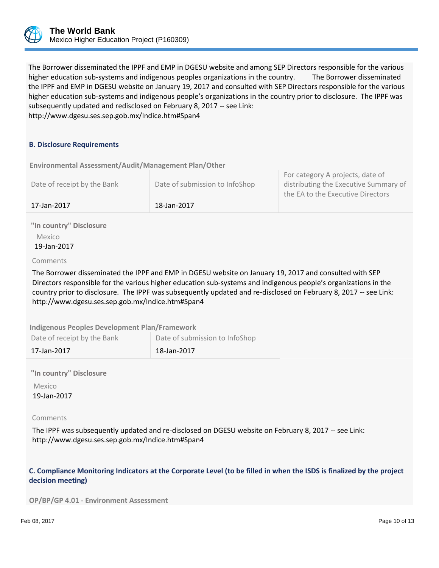

The Borrower disseminated the IPPF and EMP in DGESU website and among SEP Directors responsible for the various higher education sub-systems and indigenous peoples organizations in the country. The Borrower disseminated the IPPF and EMP in DGESU website on January 19, 2017 and consulted with SEP Directors responsible for the various higher education sub-systems and indigenous people's organizations in the country prior to disclosure. The IPPF was subsequently updated and redisclosed on February 8, 2017 -- see Link: http://www.dgesu.ses.sep.gob.mx/Indice.htm#Span4

### **B. Disclosure Requirements**

**Environmental Assessment/Audit/Management Plan/Other** 

| Date of receipt by the Bank | Date of submission to InfoShop | For category A projects, date of<br>distributing the Executive Summary of<br>the EA to the Executive Directors |
|-----------------------------|--------------------------------|----------------------------------------------------------------------------------------------------------------|
| 17-Jan-2017                 | 18-Jan-2017                    |                                                                                                                |

**"In country" Disclosure** Mexico 19-Jan-2017

#### Comments

The Borrower disseminated the IPPF and EMP in DGESU website on January 19, 2017 and consulted with SEP Directors responsible for the various higher education sub-systems and indigenous people's organizations in the country prior to disclosure. The IPPF was subsequently updated and re-disclosed on February 8, 2017 -- see Link: http://www.dgesu.ses.sep.gob.mx/Indice.htm#Span4

**Indigenous Peoples Development Plan/Framework**

Date of receipt by the Bank Date of submission to InfoShop

17-Jan-2017 18-Jan-2017

**"In country" Disclosure**

 Mexico 19-Jan-2017

#### Comments

The IPPF was subsequently updated and re-disclosed on DGESU website on February 8, 2017 -- see Link: http://www.dgesu.ses.sep.gob.mx/Indice.htm#Span4

## **C. Compliance Monitoring Indicators at the Corporate Level (to be filled in when the ISDS is finalized by the project decision meeting)**

**OP/BP/GP 4.01 - Environment Assessment**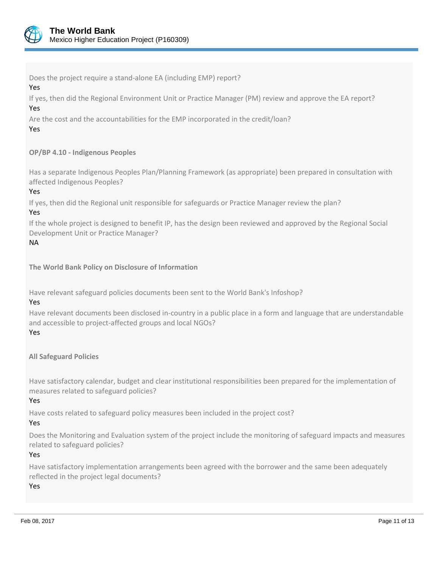

Does the project require a stand-alone EA (including EMP) report?

### Yes

If yes, then did the Regional Environment Unit or Practice Manager (PM) review and approve the EA report? Yes

Are the cost and the accountabilities for the EMP incorporated in the credit/loan?

## Yes

## **OP/BP 4.10 - Indigenous Peoples**

Has a separate Indigenous Peoples Plan/Planning Framework (as appropriate) been prepared in consultation with affected Indigenous Peoples?

Yes

If yes, then did the Regional unit responsible for safeguards or Practice Manager review the plan?

Yes

If the whole project is designed to benefit IP, has the design been reviewed and approved by the Regional Social Development Unit or Practice Manager?

## NA

**The World Bank Policy on Disclosure of Information**

Have relevant safeguard policies documents been sent to the World Bank's Infoshop?

## Yes

Have relevant documents been disclosed in-country in a public place in a form and language that are understandable and accessible to project-affected groups and local NGOs?

## Yes

**All Safeguard Policies**

Have satisfactory calendar, budget and clear institutional responsibilities been prepared for the implementation of measures related to safeguard policies?

Yes

Have costs related to safeguard policy measures been included in the project cost?

## Yes

Does the Monitoring and Evaluation system of the project include the monitoring of safeguard impacts and measures related to safeguard policies?

## Yes

Have satisfactory implementation arrangements been agreed with the borrower and the same been adequately reflected in the project legal documents?

Yes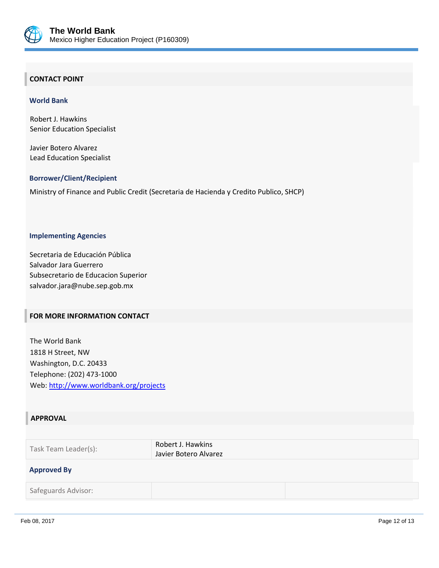

## **CONTACT POINT**

#### **World Bank**

Robert J. Hawkins Senior Education Specialist

Javier Botero Alvarez Lead Education Specialist

#### **Borrower/Client/Recipient**

Ministry of Finance and Public Credit (Secretaria de Hacienda y Credito Publico, SHCP)

#### **Implementing Agencies**

Secretaria de Educación Pública Salvador Jara Guerrero Subsecretario de Educacion Superior salvador.jara@nube.sep.gob.mx

### **FOR MORE INFORMATION CONTACT**

The World Bank 1818 H Street, NW Washington, D.C. 20433 Telephone: (202) 473-1000 Web:<http://www.worldbank.org/projects>

## **APPROVAL**

| Task Team Leader(s): | Robert J. Hawkins     |
|----------------------|-----------------------|
|                      | Javier Botero Alvarez |

## **Approved By**

Safeguards Advisor: